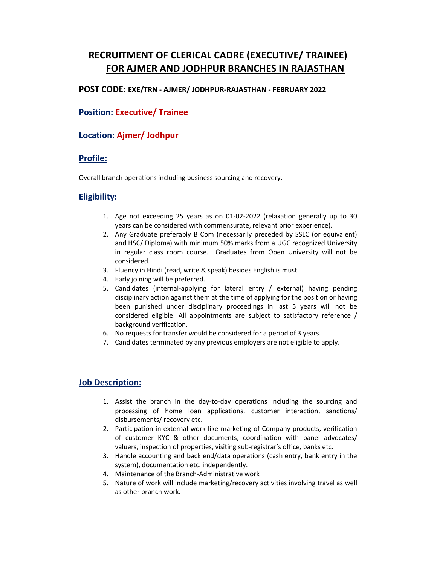# RECRUITMENT OF CLERICAL CADRE (EXECUTIVE/ TRAINEE) FOR AJMER AND JODHPUR BRANCHES IN RAJASTHAN

### POST CODE: EXE/TRN - AJMER/ JODHPUR-RAJASTHAN - FEBRUARY 2022

### Position: Executive/ Trainee

### Location: Ajmer/ Jodhpur

### Profile:

Overall branch operations including business sourcing and recovery.

### Eligibility:

- 1. Age not exceeding 25 years as on 01-02-2022 (relaxation generally up to 30 years can be considered with commensurate, relevant prior experience).
- 2. Any Graduate preferably B Com (necessarily preceded by SSLC (or equivalent) and HSC/ Diploma) with minimum 50% marks from a UGC recognized University in regular class room course. Graduates from Open University will not be considered.
- 3. Fluency in Hindi (read, write & speak) besides English is must.
- 4. Early joining will be preferred.
- 5. Candidates (internal-applying for lateral entry / external) having pending disciplinary action against them at the time of applying for the position or having been punished under disciplinary proceedings in last 5 years will not be considered eligible. All appointments are subject to satisfactory reference / background verification.
- 6. No requests for transfer would be considered for a period of 3 years.
- 7. Candidates terminated by any previous employers are not eligible to apply.

### Job Description:

- 1. Assist the branch in the day-to-day operations including the sourcing and processing of home loan applications, customer interaction, sanctions/ disbursements/ recovery etc.
- 2. Participation in external work like marketing of Company products, verification of customer KYC & other documents, coordination with panel advocates/ valuers, inspection of properties, visiting sub-registrar's office, banks etc.
- 3. Handle accounting and back end/data operations (cash entry, bank entry in the system), documentation etc. independently.
- 4. Maintenance of the Branch-Administrative work
- 5. Nature of work will include marketing/recovery activities involving travel as well as other branch work.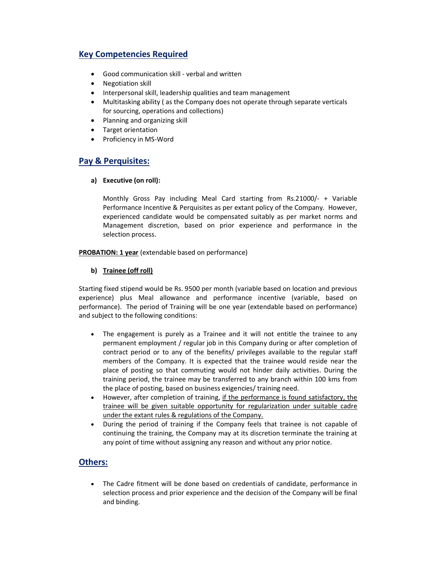# Key Competencies Required

- Good communication skill verbal and written
- Negotiation skill
- Interpersonal skill, leadership qualities and team management
- Multitasking ability ( as the Company does not operate through separate verticals for sourcing, operations and collections)
- Planning and organizing skill
- Target orientation
- Proficiency in MS-Word

## Pay & Perquisites:

#### a) Executive (on roll):

Monthly Gross Pay including Meal Card starting from Rs.21000/- + Variable Performance Incentive & Perquisites as per extant policy of the Company. However, experienced candidate would be compensated suitably as per market norms and Management discretion, based on prior experience and performance in the selection process.

PROBATION: 1 year (extendable based on performance)

#### b) Trainee (off roll)

Starting fixed stipend would be Rs. 9500 per month (variable based on location and previous experience) plus Meal allowance and performance incentive (variable, based on performance). The period of Training will be one year (extendable based on performance) and subject to the following conditions:

- The engagement is purely as a Trainee and it will not entitle the trainee to any permanent employment / regular job in this Company during or after completion of contract period or to any of the benefits/ privileges available to the regular staff members of the Company. It is expected that the trainee would reside near the place of posting so that commuting would not hinder daily activities. During the training period, the trainee may be transferred to any branch within 100 kms from the place of posting, based on business exigencies/ training need.
- However, after completion of training, if the performance is found satisfactory, the trainee will be given suitable opportunity for regularization under suitable cadre under the extant rules & regulations of the Company.
- During the period of training if the Company feels that trainee is not capable of continuing the training, the Company may at its discretion terminate the training at any point of time without assigning any reason and without any prior notice.

### Others:

 The Cadre fitment will be done based on credentials of candidate, performance in selection process and prior experience and the decision of the Company will be final and binding.